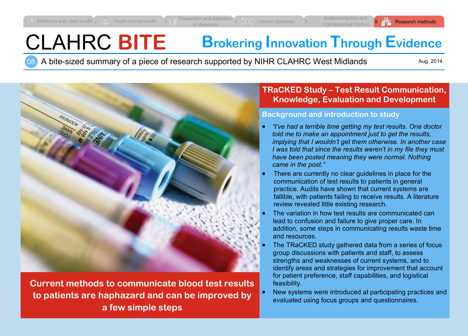# CLAHRC **BITE Brokering Innovation Through Evidence**

08 A bite-sized summary of a piece of research supported by NIHR CLAHRC West Midlands

Aug 2014



**Current methods to communicate blood test results to patients are haphazard and can be improved by a few simple steps**

## **TRaCKED Study – Test Result Communication, Knowledge, Evaluation and Development**

#### **Background and introduction to study**

- *"I've had a terrible time getting my test results. One doctor told me to make an appointment just to get the results, implying that I wouldn't get them otherwise. In another case I was told that since the results weren't in my file they must have been posted meaning they were normal. Nothing came in the post."*
- There are currently no clear guidelines in place for the communication of test results to patients in general practice. Audits have shown that current systems are fallible, with patients failing to receive results. A literature review revealed little existing research.
- The variation in how test results are communicated can lead to confusion and failure to give proper care. In addition, some steps in communicating results waste time and resources.
- The TRaCKED study gathered data from a series of focus group discussions with patients and staff, to assess strengths and weaknesses of current systems, and to identify areas and strategies for improvement that account for patient preference, staff capabilities, and logistical feasibility.
- New systems were introduced at participating practices and evaluated using focus groups and questionnaires.